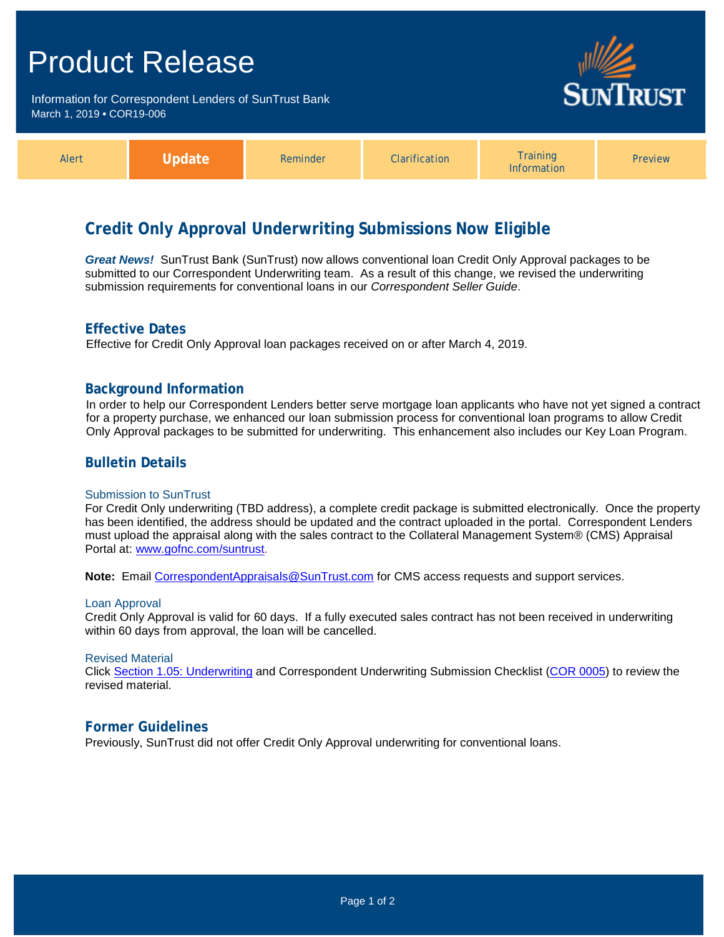# Product Release

Information for Correspondent Lenders of SunTrust Bank March 1, 2019 **•** COR19-006



| Alert |  | Reminder | <b>Clarification</b> | <b>Training</b><br><b>Information</b> | <b>Preview</b> |
|-------|--|----------|----------------------|---------------------------------------|----------------|
|-------|--|----------|----------------------|---------------------------------------|----------------|

## **Credit Only Approval Underwriting Submissions Now Eligible**

*Great News!* SunTrust Bank (SunTrust) now allows conventional loan Credit Only Approval packages to be submitted to our Correspondent Underwriting team. As a result of this change, we revised the underwriting submission requirements for conventional loans in our *Correspondent Seller Guide*.

## **Effective Dates**

Effective for Credit Only Approval loan packages received on or after March 4, 2019.

### **Background Information**

In order to help our Correspondent Lenders better serve mortgage loan applicants who have not yet signed a contract for a property purchase, we enhanced our loan submission process for conventional loan programs to allow Credit Only Approval packages to be submitted for underwriting. This enhancement also includes our Key Loan Program.

## **Bulletin Details**

#### Submission to SunTrust

For Credit Only underwriting (TBD address), a complete credit package is submitted electronically. Once the property has been identified, the address should be updated and the contract uploaded in the portal. Correspondent Lenders must upload the appraisal along with the sales contract to the Collateral Management System® (CMS) Appraisal Portal at: [www.gofnc.com/suntrust.](http://www.gofnc.com/suntrust)

**Note:** Email [CorrespondentAppraisals@SunTrust.com](mailto:CorrespondentAppraisals@SunTrust.com) for CMS access requests and support services.

#### Loan Approval

Credit Only Approval is valid for 60 days. If a fully executed sales contract has not been received in underwriting within 60 days from approval, the loan will be cancelled.

#### Revised Material

Click [Section 1.05: Underwriting](https://www.truistsellerguide.com/Manual/cor/general/1.05Underwriting.pdf) and Correspondent Underwriting Submission Checklist [\(COR 0005\)](http://www.truistsellerguide.com/manual/cor/forms/cor0005.pdf) to review the revised material.

#### **Former Guidelines**

Previously, SunTrust did not offer Credit Only Approval underwriting for conventional loans.